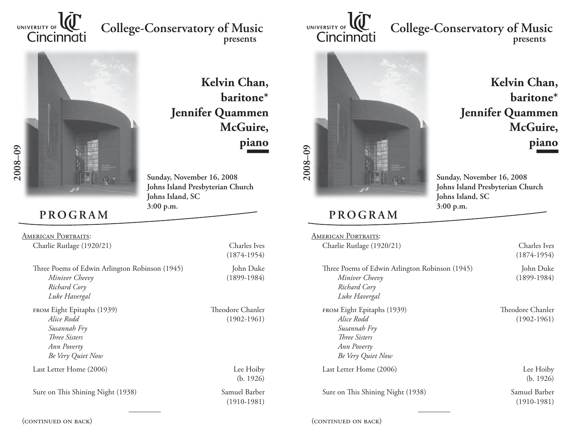

## **College-Conservatory of Music presents**



**Kelvin Chan, baritone\*Jennifer Quammen McGuire, piano**

**Sunday, November 16, 2008 Johns Island Presbyterian Church Johns Island, SC 3:00 p.m.**

## **PROGRAM**

American Portraits: Charlie Rutlage (1920/21) Charles Ives

| Three Poems of Edwin Arlington Robinson (1945)<br>Miniver Cheevy | John Duke<br>$(1899-1984)$ |
|------------------------------------------------------------------|----------------------------|
| Richard Cory<br>Luke Havergal                                    |                            |
| FROM Eight Epitaphs (1939)                                       | Theodore Chanler           |

 *Alice Rodd* (1902-1961)  *Susannah Fry Th ree Sisters Ann Poverty Be Very Quiet Now*

Last Letter Home (2006) Lee Hoiby

Sure on This Shining Night (1938) Samuel Barber

(1874-1954)

(b. 1926)

(1910-1981)

(continued on back)